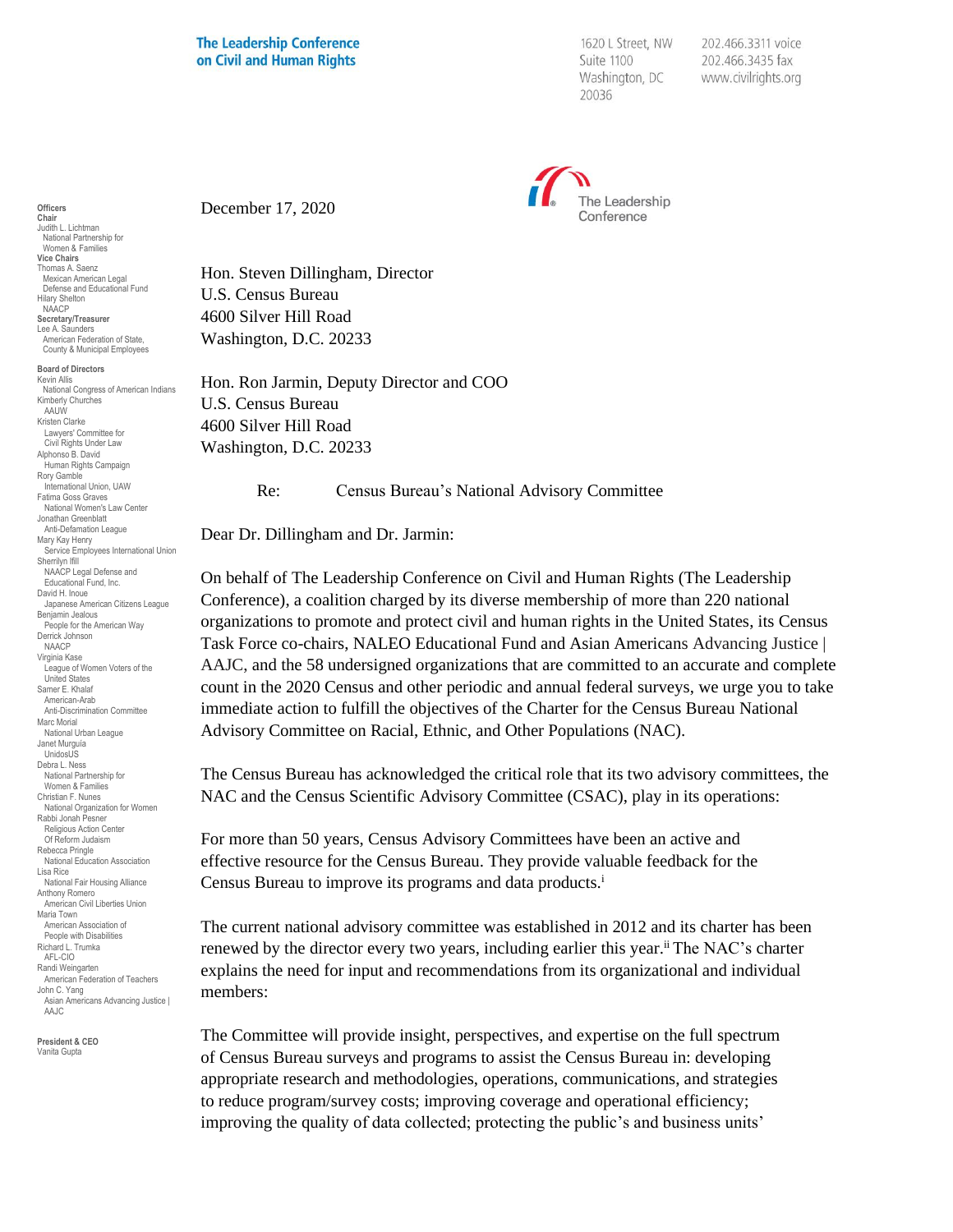**The Leadership Conference** on Civil and Human Rights

1620 L Street, NW Suite 1100 Washington, DC 20036

202.466.3311 voice 202.466.3435 fax www.civilrights.org



December 17, 2020

Hon. Steven Dillingham, Director U.S. Census Bureau 4600 Silver Hill Road Washington, D.C. 20233

Hon. Ron Jarmin, Deputy Director and COO U.S. Census Bureau 4600 Silver Hill Road Washington, D.C. 20233

Re: Census Bureau's National Advisory Committee

Dear Dr. Dillingham and Dr. Jarmin:

On behalf of The Leadership Conference on Civil and Human Rights (The Leadership Conference), a coalition charged by its diverse membership of more than 220 national organizations to promote and protect civil and human rights in the United States, its Census Task Force co-chairs, NALEO Educational Fund and Asian Americans Advancing Justice | AAJC, and the 58 undersigned organizations that are committed to an accurate and complete count in the 2020 Census and other periodic and annual federal surveys, we urge you to take immediate action to fulfill the objectives of the Charter for the Census Bureau National Advisory Committee on Racial, Ethnic, and Other Populations (NAC).

The Census Bureau has acknowledged the critical role that its two advisory committees, the NAC and the Census Scientific Advisory Committee (CSAC), play in its operations:

For more than 50 years, Census Advisory Committees have been an active and effective resource for the Census Bureau. They provide valuable feedback for the Census Bureau to improve its programs and data products.<sup>i</sup>

The current national advisory committee was established in 2012 and its charter has been renewed by the director every two years, including earlier this year.<sup>ii</sup> The NAC's charter explains the need for input and recommendations from its organizational and individual members:

The Committee will provide insight, perspectives, and expertise on the full spectrum of Census Bureau surveys and programs to assist the Census Bureau in: developing appropriate research and methodologies, operations, communications, and strategies to reduce program/survey costs; improving coverage and operational efficiency; improving the quality of data collected; protecting the public's and business units'

**Officers Chair** Judith L. Lichtman National Partnership for Women & Families **Vice Chairs** Thomas A. Saenz Mexican American Legal Defense and Educational Fund Hilary Shelton NAACP **Secretary/Treasurer** Lee A. Saunders American Federation of State, County & Municipal Employees

**Board of Directors** Kevin Allis National Congress of American Indians Kimberly Churches **AAUW** Kristen Clarke Lawyers' Committee for Civil Rights Under Law Alphonso B. David Human Rights Campaign Rory Gamble International Union, UAW Fatima Goss Graves National Women's Law Center Jonathan Greenblatt Anti-Defamation League Mary Kay Henry Service Employees International Union Sherrilyn Ifill NAACP Legal Defense and Educational Fund, Inc. David H. Inoue Japanese American Citizens League Benjamin Jealous People for the American Way Derrick Johnson NAACP Virginia Kase League of Women Voters of the United States Samer E. Khalaf American-Arab Anti-Discrimination Committee Marc Morial National Urban League Janet Murguía UnidosUS Debra L. Ness National Partnership for Women & Families Christian F. Nunes National Organization for Women Rabbi Jonah Pesner Religious Action Center Of Reform Judaism Rebecca Pringle National Education Association Lisa Rice National Fair Housing Alliance Anthony Romero American Civil Liberties Union Maria Town American Association of People with Disabilities Richard L. Trumka AFL-CIO Randi Weingarten American Federation of Teachers John C. Yang Asian Americans Advancing Justice I AAJC

**President & CEO** Vanita Gupta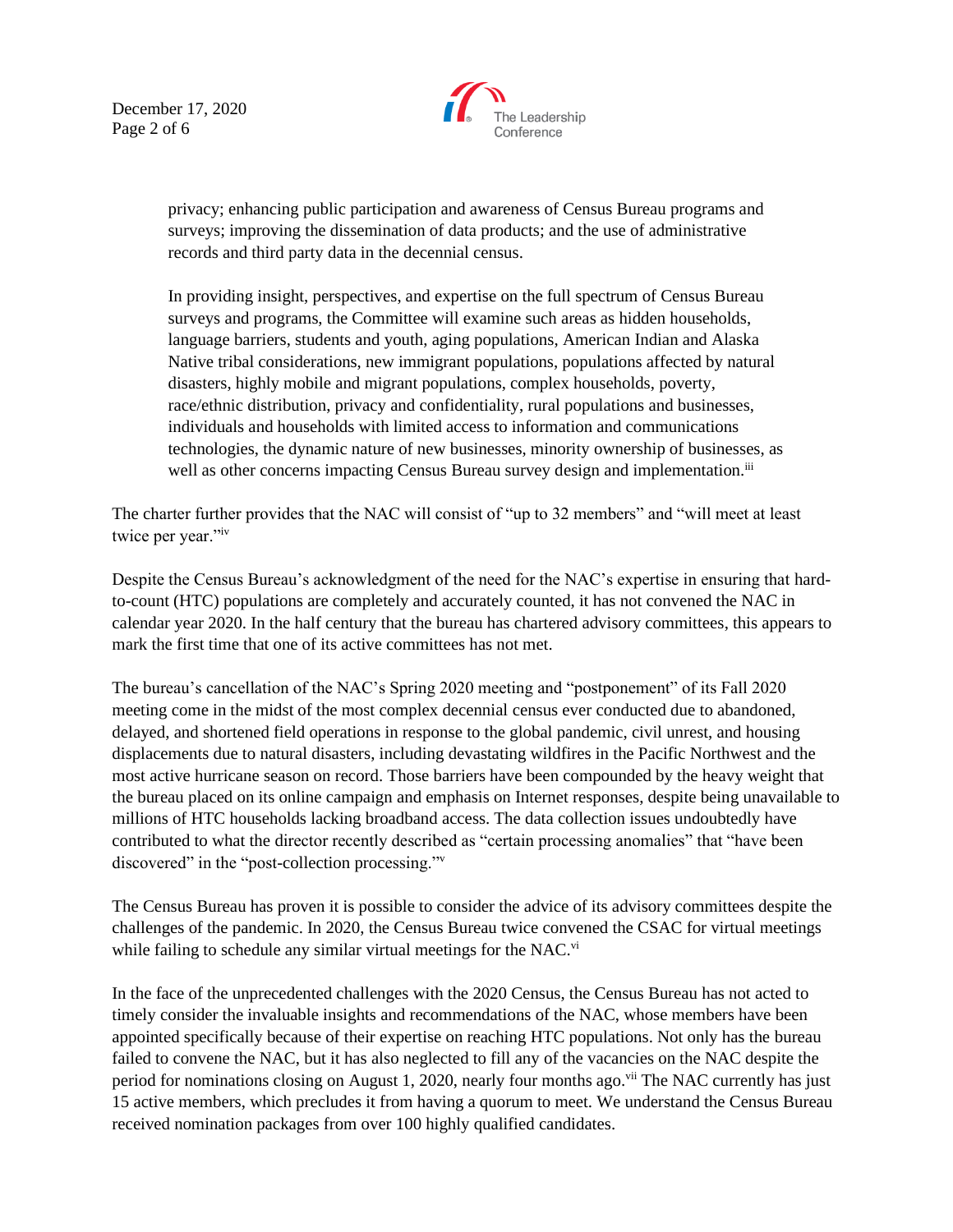December 17, 2020 Page 2 of 6



privacy; enhancing public participation and awareness of Census Bureau programs and surveys; improving the dissemination of data products; and the use of administrative records and third party data in the decennial census.

In providing insight, perspectives, and expertise on the full spectrum of Census Bureau surveys and programs, the Committee will examine such areas as hidden households, language barriers, students and youth, aging populations, American Indian and Alaska Native tribal considerations, new immigrant populations, populations affected by natural disasters, highly mobile and migrant populations, complex households, poverty, race/ethnic distribution, privacy and confidentiality, rural populations and businesses, individuals and households with limited access to information and communications technologies, the dynamic nature of new businesses, minority ownership of businesses, as well as other concerns impacting Census Bureau survey design and implementation.<sup>iii</sup>

The charter further provides that the NAC will consist of "up to 32 members" and "will meet at least twice per year."iv

Despite the Census Bureau's acknowledgment of the need for the NAC's expertise in ensuring that hardto-count (HTC) populations are completely and accurately counted, it has not convened the NAC in calendar year 2020. In the half century that the bureau has chartered advisory committees, this appears to mark the first time that one of its active committees has not met.

The bureau's cancellation of the NAC's Spring 2020 meeting and "postponement" of its Fall 2020 meeting come in the midst of the most complex decennial census ever conducted due to abandoned, delayed, and shortened field operations in response to the global pandemic, civil unrest, and housing displacements due to natural disasters, including devastating wildfires in the Pacific Northwest and the most active hurricane season on record. Those barriers have been compounded by the heavy weight that the bureau placed on its online campaign and emphasis on Internet responses, despite being unavailable to millions of HTC households lacking broadband access. The data collection issues undoubtedly have contributed to what the director recently described as "certain processing anomalies" that "have been discovered" in the "post-collection processing."<sup>v</sup>

The Census Bureau has proven it is possible to consider the advice of its advisory committees despite the challenges of the pandemic. In 2020, the Census Bureau twice convened the CSAC for virtual meetings while failing to schedule any similar virtual meetings for the NAC.<sup>vi</sup>

In the face of the unprecedented challenges with the 2020 Census, the Census Bureau has not acted to timely consider the invaluable insights and recommendations of the NAC, whose members have been appointed specifically because of their expertise on reaching HTC populations. Not only has the bureau failed to convene the NAC, but it has also neglected to fill any of the vacancies on the NAC despite the period for nominations closing on August 1, 2020, nearly four months ago.<sup>vii</sup> The NAC currently has just 15 active members, which precludes it from having a quorum to meet. We understand the Census Bureau received nomination packages from over 100 highly qualified candidates.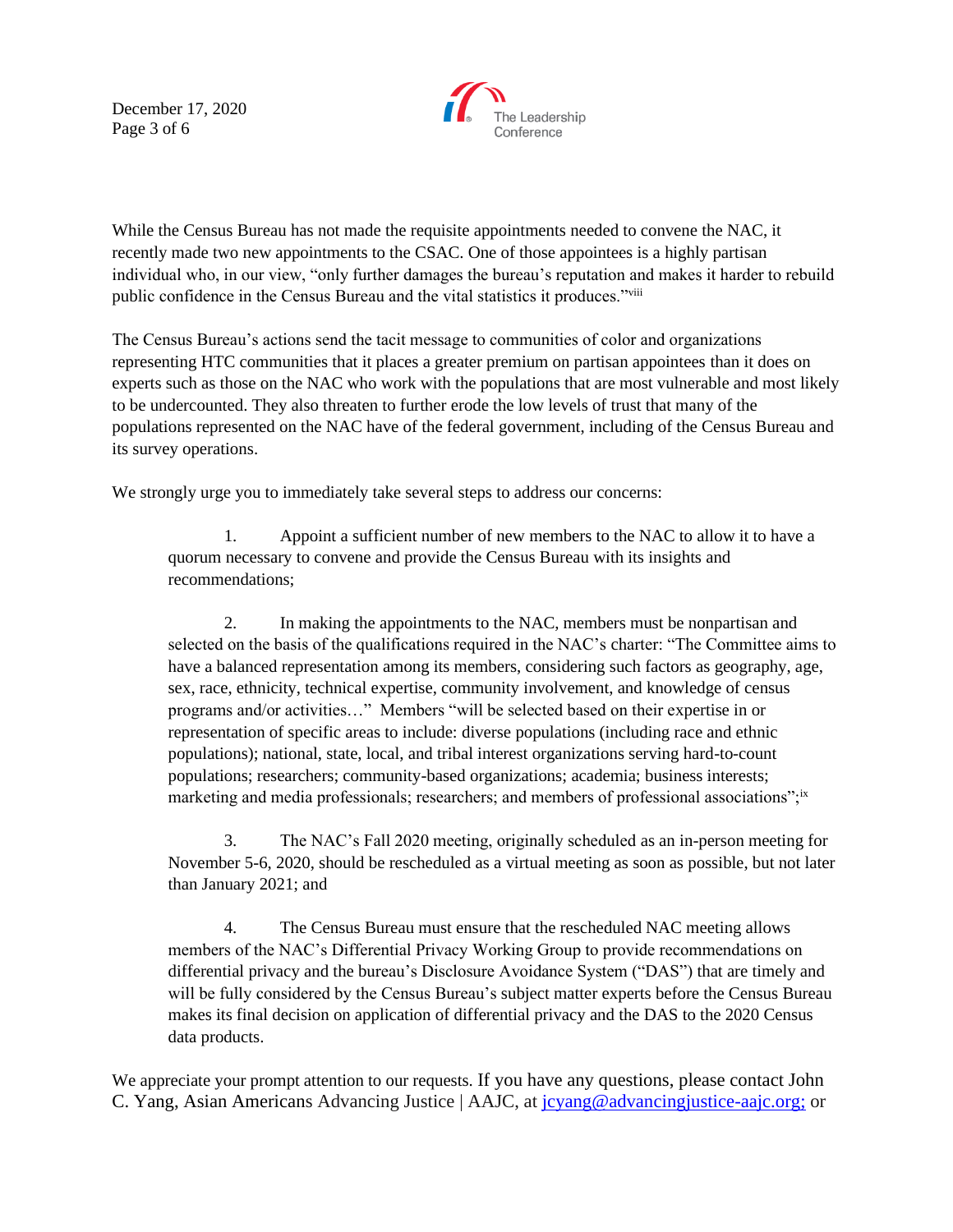December 17, 2020 Page 3 of 6



While the Census Bureau has not made the requisite appointments needed to convene the NAC, it recently made two new appointments to the CSAC. One of those appointees is a highly partisan individual who, in our view, "only further damages the bureau's reputation and makes it harder to rebuild public confidence in the Census Bureau and the vital statistics it produces."vill

The Census Bureau's actions send the tacit message to communities of color and organizations representing HTC communities that it places a greater premium on partisan appointees than it does on experts such as those on the NAC who work with the populations that are most vulnerable and most likely to be undercounted. They also threaten to further erode the low levels of trust that many of the populations represented on the NAC have of the federal government, including of the Census Bureau and its survey operations.

We strongly urge you to immediately take several steps to address our concerns:

1. Appoint a sufficient number of new members to the NAC to allow it to have a quorum necessary to convene and provide the Census Bureau with its insights and recommendations;

2. In making the appointments to the NAC, members must be nonpartisan and selected on the basis of the qualifications required in the NAC's charter: "The Committee aims to have a balanced representation among its members, considering such factors as geography, age, sex, race, ethnicity, technical expertise, community involvement, and knowledge of census programs and/or activities…" Members "will be selected based on their expertise in or representation of specific areas to include: diverse populations (including race and ethnic populations); national, state, local, and tribal interest organizations serving hard-to-count populations; researchers; community-based organizations; academia; business interests; marketing and media professionals; researchers; and members of professional associations";ix

3. The NAC's Fall 2020 meeting, originally scheduled as an in-person meeting for November 5-6, 2020, should be rescheduled as a virtual meeting as soon as possible, but not later than January 2021; and

4. The Census Bureau must ensure that the rescheduled NAC meeting allows members of the NAC's Differential Privacy Working Group to provide recommendations on differential privacy and the bureau's Disclosure Avoidance System ("DAS") that are timely and will be fully considered by the Census Bureau's subject matter experts before the Census Bureau makes its final decision on application of differential privacy and the DAS to the 2020 Census data products.

We appreciate your prompt attention to our requests. If you have any questions, please contact John C. Yang, Asian Americans Advancing Justice | AAJC, at [jcyang@advancingjustice-aajc.org;](mailto:jcyang@advancingjustice-aajc.org) or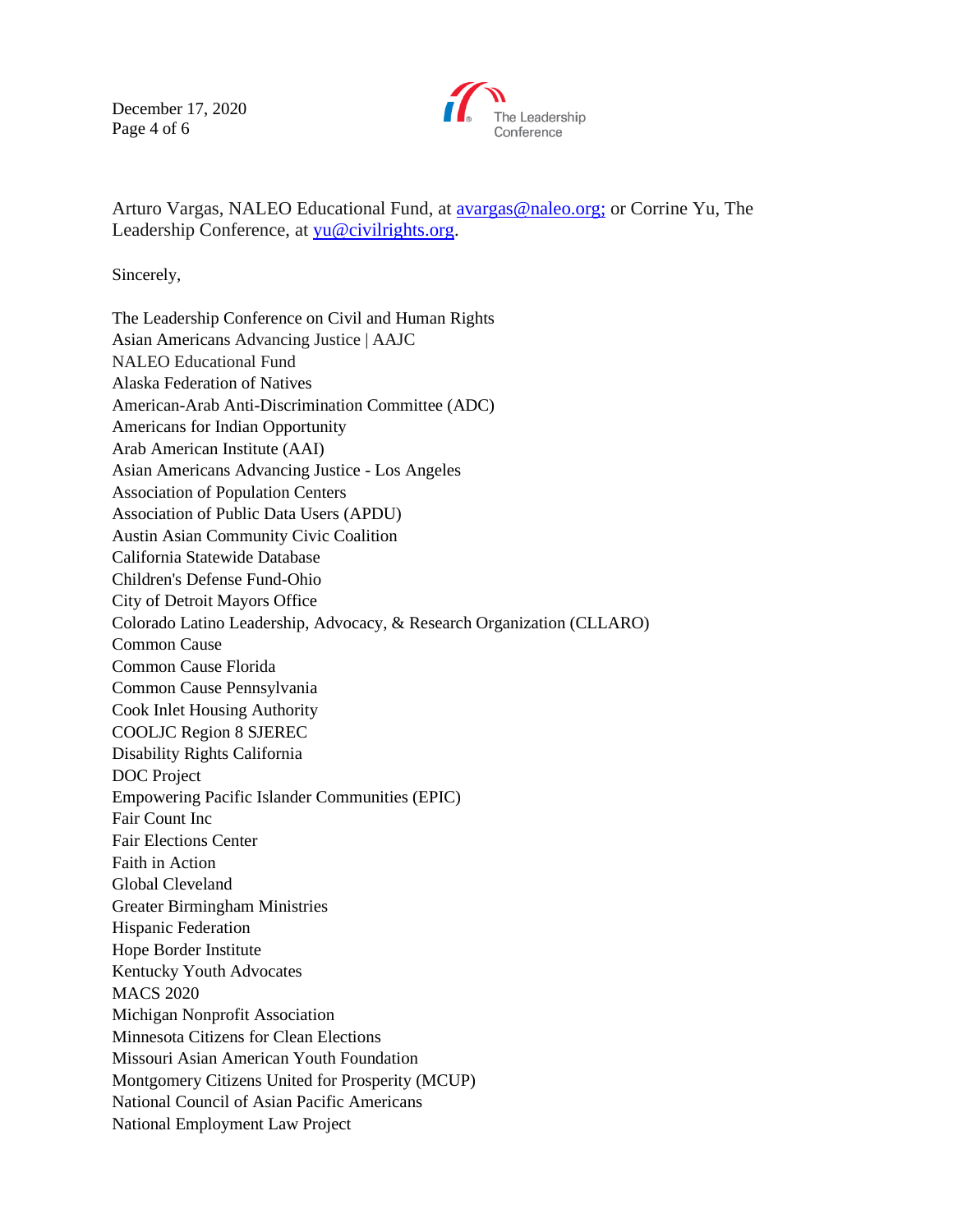December 17, 2020 Page 4 of 6



Arturo Vargas, NALEO Educational Fund, at [avargas@naleo.org;](mailto:avargas@naleo.org) or Corrine Yu, The Leadership Conference, at [yu@civilrights.org.](mailto:yu@civilrights.org)

Sincerely,

The Leadership Conference on Civil and Human Rights Asian Americans Advancing Justice | AAJC NALEO Educational Fund Alaska Federation of Natives American-Arab Anti-Discrimination Committee (ADC) Americans for Indian Opportunity Arab American Institute (AAI) Asian Americans Advancing Justice - Los Angeles Association of Population Centers Association of Public Data Users (APDU) Austin Asian Community Civic Coalition California Statewide Database Children's Defense Fund-Ohio City of Detroit Mayors Office Colorado Latino Leadership, Advocacy, & Research Organization (CLLARO) Common Cause Common Cause Florida Common Cause Pennsylvania Cook Inlet Housing Authority COOLJC Region 8 SJEREC Disability Rights California DOC Project Empowering Pacific Islander Communities (EPIC) Fair Count Inc Fair Elections Center Faith in Action Global Cleveland Greater Birmingham Ministries Hispanic Federation Hope Border Institute Kentucky Youth Advocates MACS 2020 Michigan Nonprofit Association Minnesota Citizens for Clean Elections Missouri Asian American Youth Foundation Montgomery Citizens United for Prosperity (MCUP) National Council of Asian Pacific Americans National Employment Law Project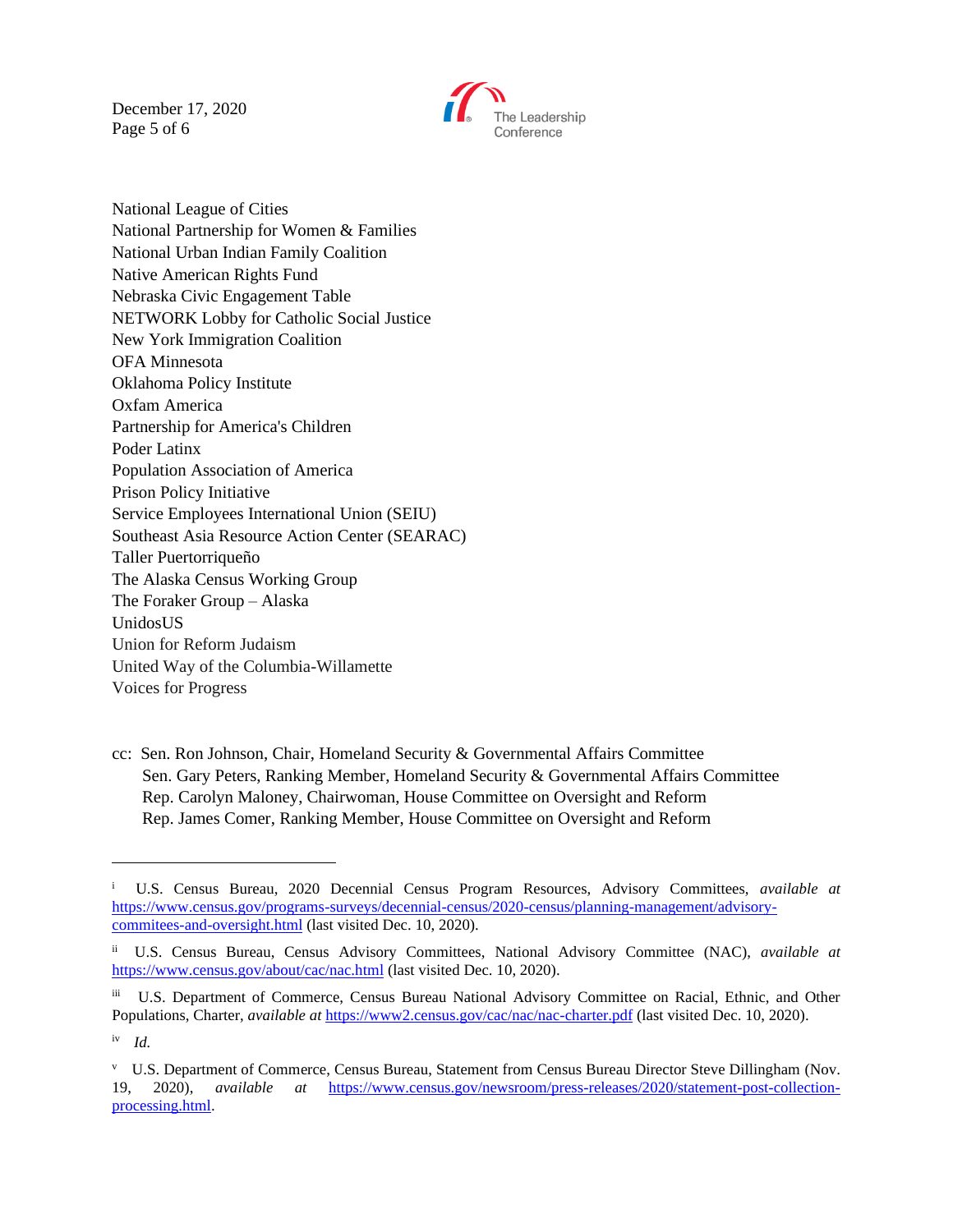December 17, 2020 Page 5 of 6



National League of Cities National Partnership for Women & Families National Urban Indian Family Coalition Native American Rights Fund Nebraska Civic Engagement Table NETWORK Lobby for Catholic Social Justice New York Immigration Coalition OFA Minnesota Oklahoma Policy Institute Oxfam America Partnership for America's Children Poder Latinx Population Association of America Prison Policy Initiative Service Employees International Union (SEIU) Southeast Asia Resource Action Center (SEARAC) Taller Puertorriqueño The Alaska Census Working Group The Foraker Group – Alaska UnidosUS Union for Reform Judaism United Way of the Columbia-Willamette Voices for Progress

cc: Sen. Ron Johnson, Chair, Homeland Security & Governmental Affairs Committee Sen. Gary Peters, Ranking Member, Homeland Security & Governmental Affairs Committee Rep. Carolyn Maloney, Chairwoman, House Committee on Oversight and Reform Rep. James Comer, Ranking Member, House Committee on Oversight and Reform

i U.S. Census Bureau, 2020 Decennial Census Program Resources, Advisory Committees, *available at* [https://www.census.gov/programs-surveys/decennial-census/2020-census/planning-management/advisory](https://www.census.gov/programs-surveys/decennial-census/2020-census/planning-management/advisory-commitees-and-oversight.html)[commitees-and-oversight.html](https://www.census.gov/programs-surveys/decennial-census/2020-census/planning-management/advisory-commitees-and-oversight.html) (last visited Dec. 10, 2020).

ii U.S. Census Bureau, Census Advisory Committees, National Advisory Committee (NAC), *available at*  <https://www.census.gov/about/cac/nac.html> (last visited Dec. 10, 2020).

iii U.S. Department of Commerce, Census Bureau National Advisory Committee on Racial, Ethnic, and Other Populations, Charter, *available at* <https://www2.census.gov/cac/nac/nac-charter.pdf> (last visited Dec. 10, 2020).

iv *Id.*

v U.S. Department of Commerce, Census Bureau, Statement from Census Bureau Director Steve Dillingham (Nov. 19, 2020), *available at* [https://www.census.gov/newsroom/press-releases/2020/statement-post-collection](https://www.census.gov/newsroom/press-releases/2020/statement-post-collection-processing.html)[processing.html.](https://www.census.gov/newsroom/press-releases/2020/statement-post-collection-processing.html)